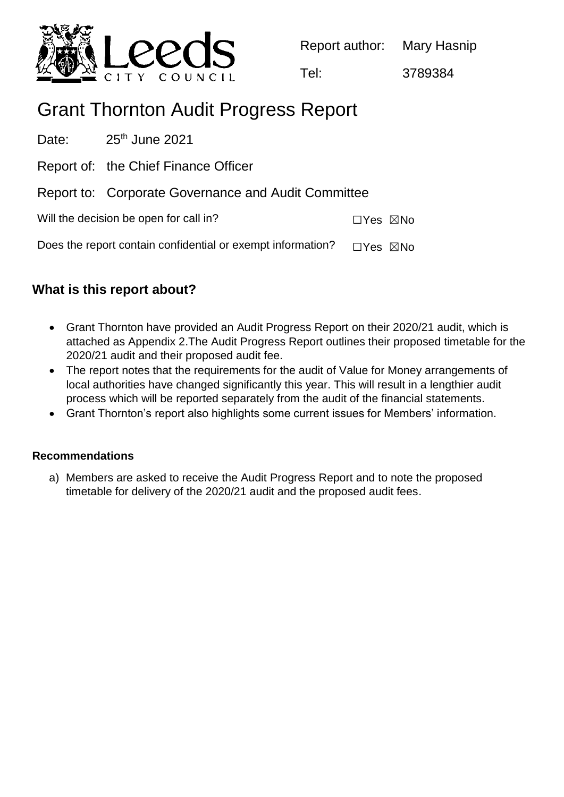

Report author: Mary Hasnip

Tel: 3789384

# Grant Thornton Audit Progress Report

Date:  $25<sup>th</sup>$  June 2021 Report of: the Chief Finance Officer Report to: Corporate Governance and Audit Committee Will the decision be open for call in? ☐Yes ☒No Does the report contain confidential or exempt information?  $\Box$ Yes  $\boxtimes$ No

# **What is this report about?**

- Grant Thornton have provided an Audit Progress Report on their 2020/21 audit, which is attached as Appendix 2.The Audit Progress Report outlines their proposed timetable for the 2020/21 audit and their proposed audit fee.
- The report notes that the requirements for the audit of Value for Money arrangements of local authorities have changed significantly this year. This will result in a lengthier audit process which will be reported separately from the audit of the financial statements.
- Grant Thornton's report also highlights some current issues for Members' information.

### **Recommendations**

a) Members are asked to receive the Audit Progress Report and to note the proposed timetable for delivery of the 2020/21 audit and the proposed audit fees.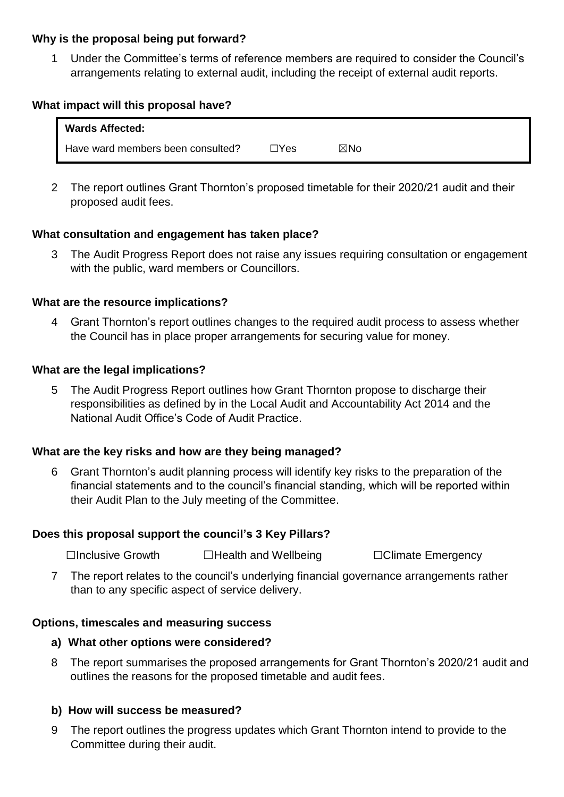#### **Why is the proposal being put forward?**

1 Under the Committee's terms of reference members are required to consider the Council's arrangements relating to external audit, including the receipt of external audit reports.

#### **What impact will this proposal have?**

| <b>Wards Affected:</b>            |      |     |  |
|-----------------------------------|------|-----|--|
| Have ward members been consulted? | ⊐Yes | ⊠No |  |

2 The report outlines Grant Thornton's proposed timetable for their 2020/21 audit and their proposed audit fees.

#### **What consultation and engagement has taken place?**

3 The Audit Progress Report does not raise any issues requiring consultation or engagement with the public, ward members or Councillors.

#### **What are the resource implications?**

4 Grant Thornton's report outlines changes to the required audit process to assess whether the Council has in place proper arrangements for securing value for money.

#### **What are the legal implications?**

5 The Audit Progress Report outlines how Grant Thornton propose to discharge their responsibilities as defined by in the Local Audit and Accountability Act 2014 and the National Audit Office's Code of Audit Practice.

#### **What are the key risks and how are they being managed?**

6 Grant Thornton's audit planning process will identify key risks to the preparation of the financial statements and to the council's financial standing, which will be reported within their Audit Plan to the July meeting of the Committee.

#### **Does this proposal support the council's 3 Key Pillars?**

☐Inclusive Growth ☐Health and Wellbeing ☐Climate Emergency

7 The report relates to the council's underlying financial governance arrangements rather than to any specific aspect of service delivery.

#### **Options, timescales and measuring success**

#### **a) What other options were considered?**

8 The report summarises the proposed arrangements for Grant Thornton's 2020/21 audit and outlines the reasons for the proposed timetable and audit fees.

#### **b) How will success be measured?**

9 The report outlines the progress updates which Grant Thornton intend to provide to the Committee during their audit.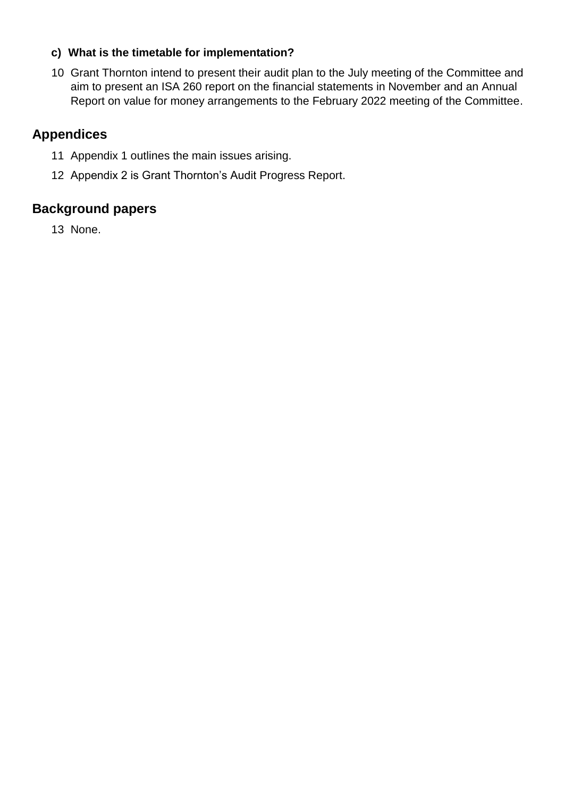## **c) What is the timetable for implementation?**

10 Grant Thornton intend to present their audit plan to the July meeting of the Committee and aim to present an ISA 260 report on the financial statements in November and an Annual Report on value for money arrangements to the February 2022 meeting of the Committee.

## **Appendices**

- 11 Appendix 1 outlines the main issues arising.
- 12 Appendix 2 is Grant Thornton's Audit Progress Report.

## **Background papers**

13 None.